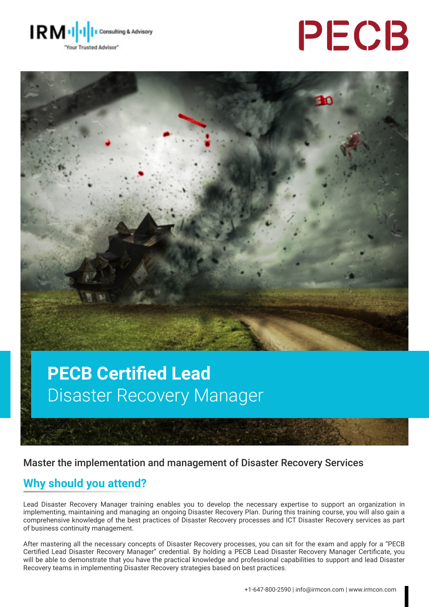

# PECB



## **PECB Certified Lead**  Disaster Recovery Manager

### Master the implementation and management of Disaster Recovery Services

## **Why should you attend?**

Lead Disaster Recovery Manager training enables you to develop the necessary expertise to support an organization in implementing, maintaining and managing an ongoing Disaster Recovery Plan. During this training course, you will also gain a comprehensive knowledge of the best practices of Disaster Recovery processes and ICT Disaster Recovery services as part of business continuity management.

After mastering all the necessary concepts of Disaster Recovery processes, you can sit for the exam and apply for a "PECB Certified Lead Disaster Recovery Manager" credential. By holding a PECB Lead Disaster Recovery Manager Certificate, you will be able to demonstrate that you have the practical knowledge and professional capabilities to support and lead Disaster Recovery teams in implementing Disaster Recovery strategies based on best practices.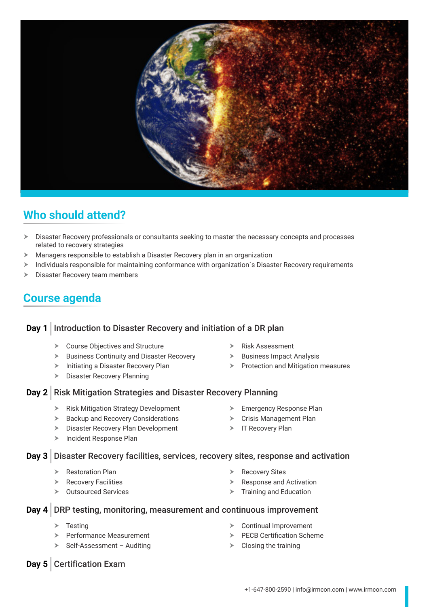

## **Who should attend?**

- Disaster Recovery professionals or consultants seeking to master the necessary concepts and processes related to recovery strategies
- $\blacktriangleright$  Managers responsible to establish a Disaster Recovery plan in an organization
- $\triangleright$  Individuals responsible for maintaining conformance with organization`s Disaster Recovery requirements
- Disaster Recovery team members

## **Course agenda**

#### **Day 1** Introduction to Disaster Recovery and initiation of a DR plan

- $\triangleright$  Course Objectives and Structure
- $\triangleright$  Business Continuity and Disaster Recovery
- $\triangleright$  Initiating a Disaster Recovery Plan
- $\triangleright$  Disaster Recovery Planning
- $\triangleright$  Risk Assessment
- $\triangleright$  Business Impact Analysis
- $\triangleright$  Protection and Mitigation measures

#### **Day 2** Risk Mitigation Strategies and Disaster Recovery Planning

- $\triangleright$  Risk Mitigation Strategy Development
- $\triangleright$  Backup and Recovery Considerations
- $\triangleright$  Disaster Recovery Plan Development
- $\blacktriangleright$  Incident Response Plan
- $\triangleright$  Emergency Response Plan
- **EXECUTE:** Crisis Management Plan
	- $\triangleright$  IT Recovery Plan

#### **Day 3** Disaster Recovery facilities, services, recovery sites, response and activation

- **Restoration Plan**
- $\triangleright$  Recovery Facilities
- $\triangleright$  Outsourced Services
- **Recovery Sites**
- $\triangleright$  Response and Activation
- $\triangleright$  Training and Education

#### **Day 4** DRP testing, monitoring, measurement and continuous improvement

- $\triangleright$  Testing
- $\triangleright$  Performance Measurement
- $\triangleright$  Self-Assessment Auditing
- $\triangleright$  Continual Improvement
- $\triangleright$  PFCB Certification Scheme
- $\triangleright$  Closing the training

**Day 5** Certification Exam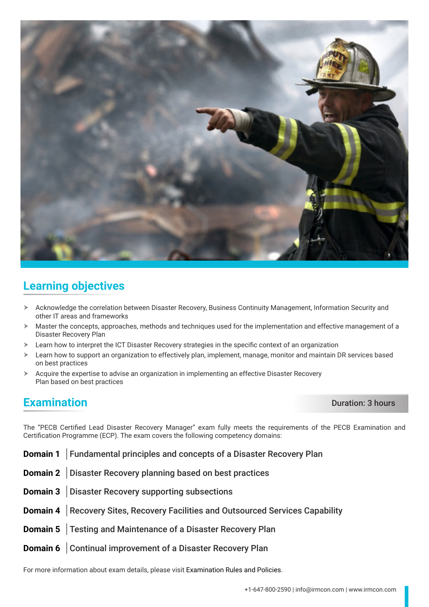

## **Learning objectives**

- h Acknowledge the correlation between Disaster Recovery, Business Continuity Management, Information Security and other IT areas and frameworks
- h Master the concepts, approaches, methods and techniques used for the implementation and effective management of a Disaster Recovery Plan
- $\blacktriangleright$  Learn how to interpret the ICT Disaster Recovery strategies in the specific context of an organization
- $\geq$  Learn how to support an organization to effectively plan, implement, manage, monitor and maintain DR services based on best practices
- $\triangleright$  Acquire the expertise to advise an organization in implementing an effective Disaster Recovery Plan based on best practices

## **Examination** Duration: 3 hours

The "PECB Certified Lead Disaster Recovery Manager" exam fully meets the requirements of the PECB Examination and Certification Programme (ECP). The exam covers the following competency domains:

- **Domain 1** Fundamental principles and concepts of a Disaster Recovery Plan
- **Domain 2** Disaster Recovery planning based on best practices
- **Domain 3** Disaster Recovery supporting subsections
- **Domain 4** Recovery Sites, Recovery Facilities and Outsourced Services Capability
- **Domain 5** Testing and Maintenance of a Disaster Recovery Plan
- **Domain 6** Continual improvement of a Disaster Recovery Plan

For more information about exam details, please visit [Examination Rules and Policies](https://pecb.com/en/examination-rules-and-policies).